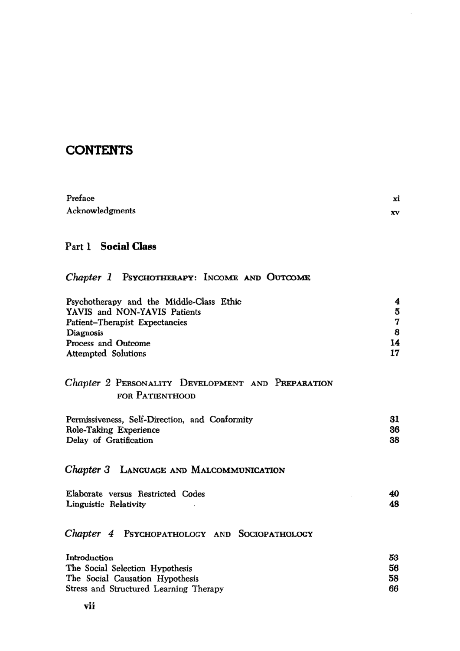## **CONTENTS**

| Preface         | xi |
|-----------------|----|
| Acknowledgments | XV |

#### Part 1 Social Class

# Chapter 1 Psychotherapy: Income and Outc

| Psychotherapy and the Middle-Class Ethic | 4  |
|------------------------------------------|----|
| YAVIS and NON-YAVIS Patients             | 5  |
| Patient-Therapist Expectancies           | 7  |
| Diagnosis                                | 8  |
| Process and Outcome                      | 14 |
| <b>Attempted Solutions</b>               | 17 |

#### Chapter 2 Personality Development and Prepar FOR PaTIENTHOOD

| Permissiveness, Self-Direction, and Conformity | 31 |
|------------------------------------------------|----|
| Role-Taking Experience                         | 36 |
| Delay of Gratification                         | 38 |

## Chapter 3 Language and Malcomm

|                       | Elaborate versus Restricted Codes |  | 40 |
|-----------------------|-----------------------------------|--|----|
| Linguistic Relativity |                                   |  | 48 |

### Chapter 4 Psychopathology and Sociopathology Chapter 4 Psychopathology and Sociopathology and  $\alpha$

| Introduction                           | 53 |
|----------------------------------------|----|
| The Social Selection Hypothesis        | 56 |
| The Social Causation Hypothesis        | 58 |
| Stress and Structured Learning Therapy | 66 |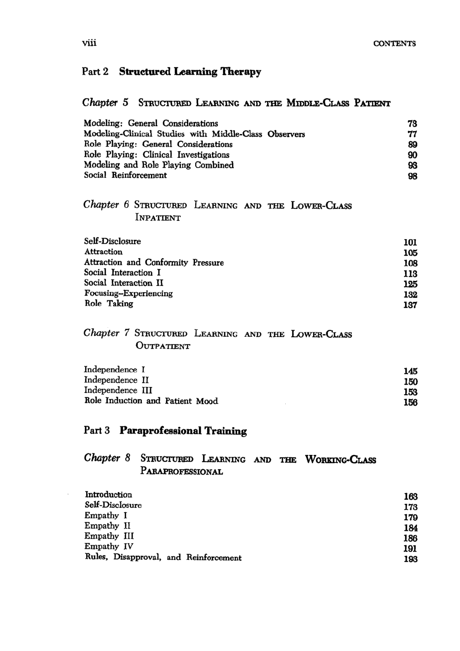# Part 2 Structured Learning Therapy

# Chapter 5 STRUCTURED LEARNING AND THE MIDDLE-CLASS PATIENT

| Modeling: General Considerations                      | 78 |
|-------------------------------------------------------|----|
| Modeling-Clinical Studies with Middle-Class Observers | 77 |
| Role Playing: General Considerations                  | 89 |
| Role Playing: Clinical Investigations                 | 90 |
| Modeling and Role Playing Combined                    | 93 |
| Social Reinforcement                                  | 98 |

#### Chapter 6 Structured Learning and the Lower-Class Inpatient

| Self-Disclosure                    | 101 |
|------------------------------------|-----|
| <b>Attraction</b>                  | 105 |
| Attraction and Conformity Pressure | 108 |
| Social Interaction I               | 113 |
| Social Interaction II              | 125 |
| Focusing-Experiencing              | 132 |
| Role Taking                        | 137 |
|                                    |     |

#### Chapter 7 STRUCTURED LEARNING AND THE LOWER-CLASS **OUTPATIENT**

| Independence I                  | 145 |
|---------------------------------|-----|
| Independence II                 | 150 |
| Independence III                | 153 |
| Role Induction and Patient Mood | 156 |

## Part 3 Paraprofessional Training

#### Chapter 8 Structured Learning and the Working-Class **PARAPROFESSIONAL**

| Introduction                          | 163 |
|---------------------------------------|-----|
| Self-Disclosure                       | 173 |
| Empathy I                             | 179 |
| Empathy II                            | 184 |
| Empathy III                           | 186 |
| Empathy IV                            | 191 |
| Rules, Disapproval, and Reinforcement | 193 |
|                                       |     |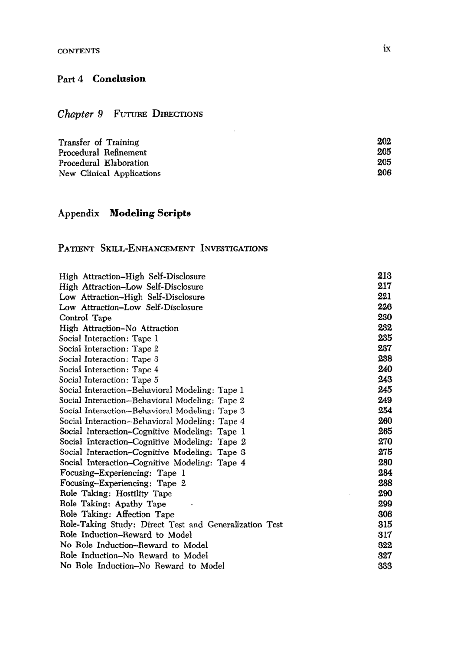#### Part 4 Conclusion

## Chapter 9 FUTURE DIRECTIONS

| Transfer of Training      | 202 |
|---------------------------|-----|
| Procedural Refinement     | 205 |
| Procedural Elaboration    | 205 |
| New Clinical Applications | 206 |

 $\overline{\phantom{a}}$ 

# Appendix Modeling Scripts

#### PATIENT SKILL-ENHANCEMENT INVESTIGATIONS

| High Attraction-High Self-Disclosure                   | 213 |
|--------------------------------------------------------|-----|
| High Attraction-Low Self-Disclosure                    | 217 |
| Low Attraction-High Self-Disclosure                    | 221 |
| Low Attraction-Low Self-Disclosure                     | 226 |
| Control Tape                                           | 230 |
| High Attraction-No Attraction                          | 232 |
| Social Interaction: Tape 1                             | 235 |
| Social Interaction: Tape 2                             | 237 |
| Social Interaction: Tape 3                             | 238 |
| Social Interaction: Tape 4                             | 240 |
| Social Interaction: Tape 5                             | 243 |
| Social Interaction-Behavioral Modeling: Tape 1         | 245 |
| Social Interaction-Behavioral Modeling: Tape 2         | 249 |
| Social Interaction-Behavioral Modeling: Tape 3         | 254 |
| Social Interaction-Behavioral Modeling: Tape 4         | 260 |
| Social Interaction-Cognitive Modeling: Tape 1          | 265 |
| Social Interaction–Cognitive Modeling: Tape 2          | 270 |
| Social Interaction-Cognitive Modeling: Tape 3          | 275 |
| Social Interaction–Cognitive Modeling: Tape 4          | 280 |
| Focusing-Experiencing: Tape 1                          | 284 |
| Focusing-Experiencing: Tape 2                          | 288 |
| Role Taking: Hostility Tape                            | 290 |
| Role Taking: Apathy Tape                               | 299 |
| Role Taking: Affection Tape                            | 306 |
| Role-Taking Study: Direct Test and Generalization Test | 315 |
| Role Induction-Reward to Model                         | 317 |
| No Role Induction-Reward to Model                      | 322 |
| Role Induction-No Reward to Model                      | 327 |
| No Role Induction-No Reward to Model                   | 333 |